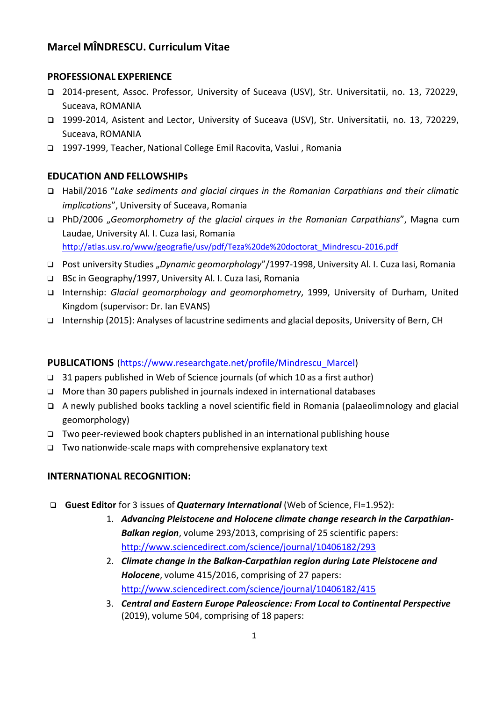# **Marcel MÎNDRESCU. Curriculum Vitae**

# **PROFESSIONAL EXPERIENCE**

- 2014-present, Assoc. Professor, University of Suceava (USV), Str. Universitatii, no. 13, 720229, Suceava, ROMANIA
- 1999-2014, Asistent and Lector, University of Suceava (USV), Str. Universitatii, no. 13, 720229, Suceava, ROMANIA
- 1997-1999, Teacher, National College Emil Racovita, Vaslui , Romania

# **EDUCATION AND FELLOWSHIPs**

- Habil/2016 "*Lake sediments and glacial cirques in the Romanian Carpathians and their climatic implications*", University of Suceava, Romania
- PhD/2006 "*Geomorphometry of the glacial cirques in the Romanian Carpathians*", Magna cum Laudae, University Al. I. Cuza Iasi, Romania [http://atlas.usv.ro/www/geografie/usv/pdf/Teza%20de%20doctorat\\_Mindrescu-2016.pdf](http://atlas.usv.ro/www/geografie/usv/pdf/Teza%20de%20doctorat_Mindrescu-2016.pdf)
- Post university Studies "*Dynamic geomorphology*"/1997-1998, University Al. I. Cuza Iasi, Romania
- BSc in Geography/1997, University Al. I. Cuza Iasi, Romania
- Internship: *Glacial geomorphology and geomorphometry*, 1999, University of Durham, United Kingdom (supervisor: Dr. Ian EVANS)
- Internship (2015): Analyses of lacustrine sediments and glacial deposits, University of Bern, CH

# **PUBLICATIONS** [\(https://www.researchgate.net/profile/Mindrescu\\_Marcel\)](https://www.researchgate.net/profile/Mindrescu_Marcel)

- $\Box$  31 papers published in Web of Science journals (of which 10 as a first author)
- $\Box$  More than 30 papers published in journals indexed in international databases
- A newly published books tackling a novel scientific field in Romania (palaeolimnology and glacial geomorphology)
- $\Box$  Two peer-reviewed book chapters published in an international publishing house
- $\Box$  Two nationwide-scale maps with comprehensive explanatory text

# **INTERNATIONAL RECOGNITION:**

- **Guest Editor** for 3 issues of *Quaternary International* (Web of Science, FI=1.952):
	- 1. *Advancing Pleistocene and Holocene climate change research in the Carpathian-Balkan region*, volume 293/2013, comprising of 25 scientific papers: <http://www.sciencedirect.com/science/journal/10406182/293>
	- 2. *Climate change in the Balkan-Carpathian region during Late Pleistocene and Holocene*, volume 415/2016, comprising of 27 papers: <http://www.sciencedirect.com/science/journal/10406182/415>
	- 3. *Central and Eastern Europe Paleoscience: From Local to Continental Perspective*  (2019), volume 504, comprising of 18 papers: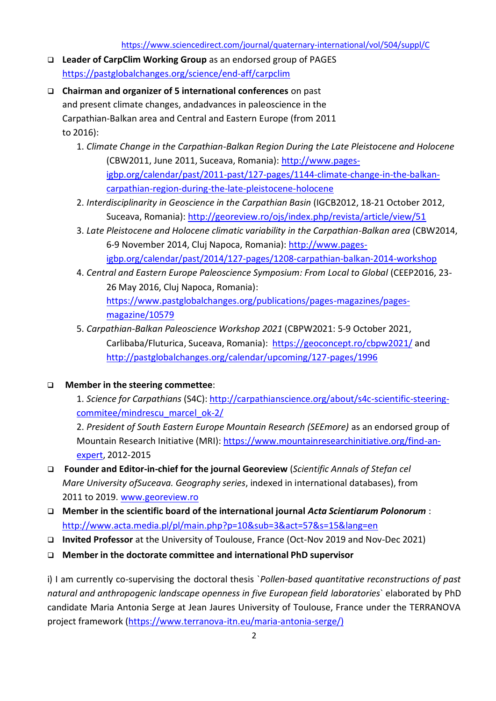<https://www.sciencedirect.com/journal/quaternary-international/vol/504/suppl/C>

- **Leader of CarpClim Working Group** as an endorsed group of PAGES <https://pastglobalchanges.org/science/end-aff/carpclim>
- **Chairman and organizer of 5 international conferences** on past and present climate changes, andadvances in paleoscience in the Carpathian-Balkan area and Central and Eastern Europe (from 2011 to 2016):
	- 1. *Climate Change in the Carpathian-Balkan Region During the Late Pleistocene and Holocene* (CBW2011, June 2011, Suceava, Romania): [http://www.pages](http://www.pages-igbp.org/calendar/past/2011-past/127-pages/1144-climate-change-in-the-balkan-carpathian-region-during-the-late-pleistocene-holocene)[igbp.org/calendar/past/2011-past/127-pages/1144-climate-change-in-the-balkan](http://www.pages-igbp.org/calendar/past/2011-past/127-pages/1144-climate-change-in-the-balkan-carpathian-region-during-the-late-pleistocene-holocene)[carpathian-region-during-the-late-pleistocene-holocene](http://www.pages-igbp.org/calendar/past/2011-past/127-pages/1144-climate-change-in-the-balkan-carpathian-region-during-the-late-pleistocene-holocene)
	- 2. *Interdisciplinarity in Geoscience in the Carpathian Basin* (IGCB2012, 18-21 October 2012, Suceava, Romania): http://georeview.ro/ojs/index.php/revista/article/view/51
	- 3. *Late Pleistocene and Holocene climatic variability in the Carpathian-Balkan area* (CBW2014, 6-9 November 2014, Cluj Napoca, Romania): [http://www.pages](http://www.pages-igbp.org/calendar/past/2014/127-pages/1208-carpathian-balkan-2014-workshop)[igbp.org/calendar/past/2014/127-pages/1208-carpathian-balkan-2014-workshop](http://www.pages-igbp.org/calendar/past/2014/127-pages/1208-carpathian-balkan-2014-workshop)
	- 4. *Central and Eastern Europe Paleoscience Symposium: From Local to Global* (CEEP2016, 23- 26 May 2016, Cluj Napoca, Romania): [https://www.pastglobalchanges.org/publications/pages-magazines/pages](https://www.pastglobalchanges.org/publications/pages-magazines/pages-magazine/10579)[magazine/10579](https://www.pastglobalchanges.org/publications/pages-magazines/pages-magazine/10579)
	- 5. *Carpathian-Balkan Paleoscience Workshop 2021* (CBPW2021: 5-9 October 2021, Carlibaba/Fluturica, Suceava, Romania): [https://geoconcept.ro/cbpw2021/](http://geoconcept.ro/CBPW2020/) and <http://pastglobalchanges.org/calendar/upcoming/127-pages/1996>
- **Member in the steering commettee**:
	- 1. *Science for Carpathians* (S4C): [http://carpathianscience.org/about/s4c-scientific-steering](http://carpathianscience.org/about/s4c-scientific-steering-commitee/mindrescu_marcel_ok-2/)[commitee/mindrescu\\_marcel\\_ok-2/](http://carpathianscience.org/about/s4c-scientific-steering-commitee/mindrescu_marcel_ok-2/)

2. *President of South Eastern Europe Mountain Research (SEEmore)* as an endorsed group of Mountain Research Initiative (MRI): [https://www.mountainresearchinitiative.org/find-an](https://www.mountainresearchinitiative.org/find-an-expert)[expert,](https://www.mountainresearchinitiative.org/find-an-expert) 2012-2015

- **Founder and Editor-in-chief for the journal Georeview** (*Scientific Annals of Stefan cel Mare University ofSuceava. Geography series*, indexed in international databases), from 2011 to 2019. [www.georeview.ro](http://www.georeview.ro/)
- **Member in the scientific board of the international journal** *Acta Scientiarum Polonorum* : <http://www.acta.media.pl/pl/main.php?p=10&sub=3&act=57&s=15&lang=en>
- **Invited Professor** at the University of Toulouse, France (Oct-Nov 2019 and Nov-Dec 2021)
- **Member in the doctorate committee and international PhD supervisor**

i) I am currently co-supervising the doctoral thesis `*Pollen-based quantitative reconstructions of past natural and anthropogenic landscape openness in five European field laboratories*` elaborated by PhD candidate Maria Antonia Serge at Jean Jaures University of Toulouse, France under the TERRANOVA project framework [\(https://www.terranova-itn.eu/maria-antonia-serge/\)](https://www.terranova-itn.eu/maria-antonia-serge/)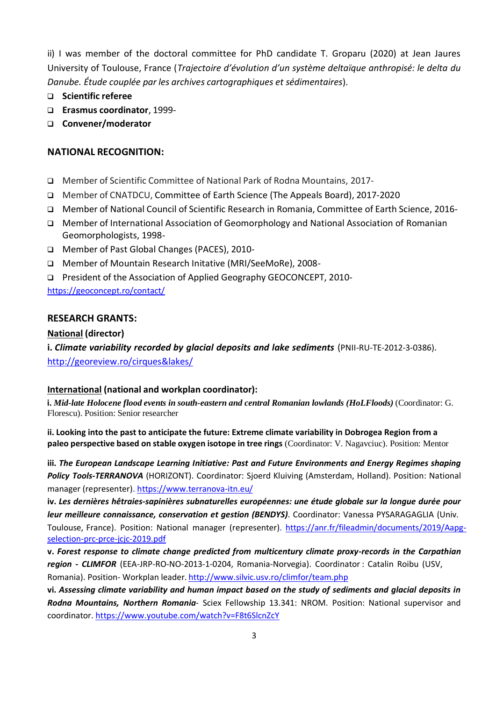ii) I was member of the doctoral committee for PhD candidate T. Groparu (2020) at Jean Jaures University of Toulouse, France (*Trajectoire d'évolution d'un système deltaïque anthropisé: le delta du Danube. Étude couplée par les archives cartographiques et sédimentaires*).

- **Scientific referee**
- **Erasmus coordinator**, 1999-
- **Convener/moderator**

## **NATIONAL RECOGNITION:**

- Member of Scientific Committee of National Park of Rodna Mountains, 2017-
- Member of CNATDCU, Committee of Earth Science (The Appeals Board), 2017-2020
- Member of National Council of Scientific Research in Romania, Committee of Earth Science, 2016-
- Member of International Association of Geomorphology and National Association of Romanian Geomorphologists, 1998-
- Member of Past Global Changes (PACES), 2010-
- Member of Mountain Research Initative (MRI/SeeMoRe), 2008-
- □ President of the Association of Applied Geography GEOCONCEPT, 2010-

<https://geoconcept.ro/contact/>

## **RESEARCH GRANTS:**

## **National (director)**

**i.** *Climate variability recorded by glacial deposits and lake sediments* (PNII-RU-TE-2012-3-0386). [http://georeview.ro/cirques&lakes/](http://georeview.ro/cirques%26lakes/)

# **International (national and workplan coordinator):**

**i.** *Mid-late Holocene flood events in south-eastern and central Romanian lowlands (HoLFloods)* (Coordinator: G. Florescu). Position: Senior researcher

**ii. Looking into the past to anticipate the future: Extreme climate variability in Dobrogea Region from a paleo perspective based on stable oxygen isotope in tree rings** (Coordinator: V. Nagavciuc). Position: Mentor

**iii.** *The European Landscape Learning Initiative: Past and Future Environments and Energy Regimes shaping Policy Tools-TERRANOVA* (HORIZONT). Coordinator: Sjoerd Kluiving (Amsterdam, Holland). Position: National manager (representer).<https://www.terranova-itn.eu/>

**iv.** *Les dernières hêtraies-sapinières subnaturelles européennes: une étude globale sur la longue durée pour leur meilleure connaissance, conservation et gestion (BENDYS)*. Coordinator: Vanessa PYSARAGAGLIA (Univ. Toulouse, France). Position: National manager (representer). [https://anr.fr/fileadmin/documents/2019/Aapg](https://anr.fr/fileadmin/documents/2019/Aapg-selection-prc-prce-jcjc-2019.pdf)[selection-prc-prce-jcjc-2019.pdf](https://anr.fr/fileadmin/documents/2019/Aapg-selection-prc-prce-jcjc-2019.pdf)

**v.** *Forest response to climate change predicted from multicentury climate proxy-records in the Carpathian region - CLIMFOR* (EEA-JRP-RO-NO-2013-1-0204, Romania-Norvegia). Coordinator : Catalin Roibu (USV, Romania). Position- Workplan leader. <http://www.silvic.usv.ro/climfor/team.php>

**vi.** *Assessing climate variability and human impact based on the study of sediments and glacial deposits in Rodna Mountains, Northern Romania*- Sciex Fellowship 13.341: NROM. Position: National supervisor and coordinator. <https://www.youtube.com/watch?v=F8t6SlcnZcY>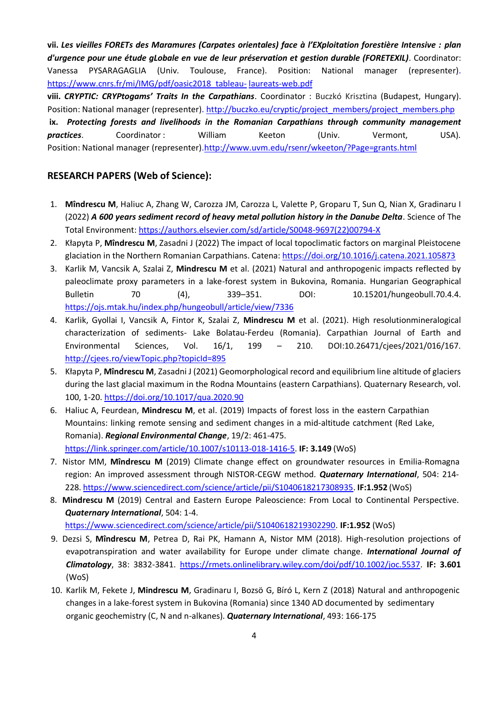**vii.** *Les vieilles FORETs des Maramures (Carpates orientales) face à l'EXploitation forestière Intensive : plan d'urgence pour une étude gLobale en vue de leur préservation et gestion durable (FORETEXIL)*. Coordinator: Vanessa PYSARAGAGLIA (Univ. Toulouse, France). Position: National manager (representer). [https://www.cnrs.fr/mi/IMG/pdf/oasic2018\\_tableau-](https://www.cnrs.fr/mi/IMG/pdf/oasic2018_tableau-laureats-web.pdf) [laureats-web.pdf](https://www.cnrs.fr/mi/IMG/pdf/oasic2018_tableau-laureats-web.pdf)

**viii.** *CRYPTIC: CRYPtogams' Traits In the Carpathians*. Coordinator : Buczkó Krisztina (Budapest, Hungary). Position: National manager (representer). [http://buczko.eu/cryptic/project\\_members/project\\_members.php](http://buczko.eu/cryptic/project_members/project_members.php) **ix.** *Protecting forests and livelihoods in the Romanian Carpathians through community management*

**practices.** Coordinator: William Keeton (Univ. Vermont, USA). Position: National manager (representer)[.http://www.uvm.edu/rsenr/wkeeton/?Page=grants.html](http://www.uvm.edu/rsenr/wkeeton/?Page=grants.html)

## **RESEARCH PAPERS (Web of Science):**

- 1. **Mîndrescu M**, Haliuc A, Zhang W, Carozza JM, Carozza L, Valette P, Groparu T, Sun Q, Nian X, Gradinaru I (2022) *A 600 years sediment record of heavy metal pollution history in the Danube Delta*. Science of The Total Environment[: https://authors.elsevier.com/sd/article/S0048-9697\(22\)00794-X](https://authors.elsevier.com/sd/article/S0048-9697(22)00794-X)
- 2. Kłapyta P, **Mîndrescu M**, Zasadni J (2022) The impact of local topoclimatic factors on marginal Pleistocene glaciation in the Northern Romanian Carpathians. Catena[: https://doi.org/10.1016/j.catena.2021.105873](https://doi.org/10.1016/j.catena.2021.105873)
- 3. Karlik M, Vancsik A, Szalai Z, **Mindrescu M** et al. (2021) Natural and anthropogenic impacts reflected by paleoclimate proxy parameters in a lake-forest system in Bukovina, Romania. Hungarian Geographical Bulletin 70 (4), 339–351. DOI: 10.15201/hungeobull.70.4.4. <https://ojs.mtak.hu/index.php/hungeobull/article/view/7336>
- 4. Karlik, Gyollai I, Vancsik A, Fintor K, Szalai Z, **Mindrescu M** et al. (2021). High resolutionmineralogical characterization of sediments- Lake Bolatau-Ferdeu (Romania). Carpathian Journal of Earth and Environmental Sciences, Vol. 16/1, 199 – 210. DOI:10.26471/cjees/2021/016/167. <http://cjees.ro/viewTopic.php?topicId=895>
- 5. Kłapyta P, **Mîndrescu M**, Zasadni J (2021) Geomorphological record and equilibrium line altitude of glaciers during the last glacial maximum in the Rodna Mountains (eastern Carpathians). Quaternary Research, vol. 100, 1-20.<https://doi.org/10.1017/qua.2020.90>
- 6. Haliuc A, Feurdean, **Mindrescu M**, et al. (2019) Impacts of forest loss in the eastern [Carpathian](https://www.researchgate.net/publication/327657064_Impacts_of_forest_loss_in_the_eastern_Carpathian_Mountains_linking_remote_sensing_and_sediment_changes_in_a_mid-altitude_catchment_Red_Lake_Romania?_sg=WoXCnCxkFvHXVokcAieVQbqIXN2JE8duGWMFqCeKuB0w9Sjhpy9qohHhAmfki7nsTe1yBLoqMQ-19bhGaTO59zkjZGrPmNvKJ4NhKiVl.aEvt1Ly3uupp_5A2svwHKFYeEy3n0kQ3yVxOdby5PIya07vTqHCGDTQ0cdZX4dDxdf0h78QQDNFYsTDQsxkiQw) Mountains: linking remote sensing and sediment changes in a [mid-altitude](https://www.researchgate.net/publication/327657064_Impacts_of_forest_loss_in_the_eastern_Carpathian_Mountains_linking_remote_sensing_and_sediment_changes_in_a_mid-altitude_catchment_Red_Lake_Romania?_sg=WoXCnCxkFvHXVokcAieVQbqIXN2JE8duGWMFqCeKuB0w9Sjhpy9qohHhAmfki7nsTe1yBLoqMQ-19bhGaTO59zkjZGrPmNvKJ4NhKiVl.aEvt1Ly3uupp_5A2svwHKFYeEy3n0kQ3yVxOdby5PIya07vTqHCGDTQ0cdZX4dDxdf0h78QQDNFYsTDQsxkiQw) catchment (Red Lake, [Romania\).](https://www.researchgate.net/publication/327657064_Impacts_of_forest_loss_in_the_eastern_Carpathian_Mountains_linking_remote_sensing_and_sediment_changes_in_a_mid-altitude_catchment_Red_Lake_Romania?_sg=WoXCnCxkFvHXVokcAieVQbqIXN2JE8duGWMFqCeKuB0w9Sjhpy9qohHhAmfki7nsTe1yBLoqMQ-19bhGaTO59zkjZGrPmNvKJ4NhKiVl.aEvt1Ly3uupp_5A2svwHKFYeEy3n0kQ3yVxOdby5PIya07vTqHCGDTQ0cdZX4dDxdf0h78QQDNFYsTDQsxkiQw) *Regional Environmental Change*, 19/2: 461-475. [https://link.springer.com/article/10.1007/s10113-018-1416-5.](https://link.springer.com/article/10.1007/s10113-018-1416-5) **IF: 3.149** (WoS)
- 7. Nistor MM, **Mîndrescu M** (2019) Climate change effect on groundwater resources in Emilia-Romagna region: An improved assessment through NISTOR-CEGW method. *Quaternary International*, 504: 214- 228. [https://www.sciencedirect.com/science/article/pii/S1040618217308935.](https://www.sciencedirect.com/science/article/pii/S1040618217308935) **IF:1.952** (WoS)
- 8. **Mindrescu M** (2019) Central and Eastern Europe Paleoscience: From Local to Continental Perspective. *Quaternary International*, 504: 1-4.

[https://www.sciencedirect.com/science/article/pii/S1040618219302290.](https://www.sciencedirect.com/science/article/pii/S1040618219302290) **IF:1.952** (WoS)

- 9. Dezsi S, **Mîndrescu M**, Petrea D, Rai PK, Hamann A, Nistor MM (2018). High-resolution projections of evapotranspiration and water availability for Europe under climate change. *International Journal of Climatology*, 38: 3832-3841. [https://rmets.onlinelibrary.wiley.com/doi/pdf/10.1002/joc.5537.](https://rmets.onlinelibrary.wiley.com/doi/pdf/10.1002/joc.5537) **IF: 3.601** (WoS)
- 10. Karlik M, Fekete J, **Mindrescu M**, Gradinaru I, Bozsö G, Bíró L, Kern Z (2018) Natural and anthropogenic changes in a lake-forest system in Bukovina (Romania) since 1340 AD documented by sedimentary organic geochemistry (C, N and n-alkanes). *Quaternary International*, 493: 166-175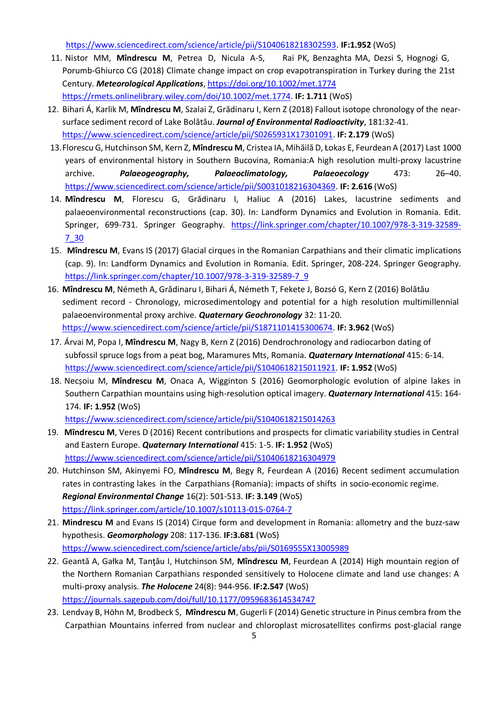[https://www.sciencedirect.com/science/article/pii/S1040618218302593.](https://www.sciencedirect.com/science/article/pii/S1040618218302593) **IF:1.952** (WoS)

- 11. Nistor MM, **Mîndrescu M**, Petrea D, Nicula A-S, Rai PK, Benzaghta MA, Dezsi S, Hognogi G, Porumb‐Ghiurco CG (2018) Climate change impact on crop evapotranspiration in Turkey during the 21st Century. *Meteorological Applications*, <https://doi.org/10.1002/met.1774> [https://rmets.onlinelibrary.wiley.com/doi/10.1002/met.1774.](https://rmets.onlinelibrary.wiley.com/doi/10.1002/met.1774) **IF: 1.711** (WoS)
- 12. Bihari Á, Karlik M, **Mîndrescu M**, Szalai Z, Grădinaru I, Kern Z (2018) Fallout isotope chronology of the nearsurface sediment record of Lake Bolătău. *Journal of Environmental Radioactivity*, 181:32-41. [https://www.sciencedirect.com/science/article/pii/S0265931X17301091.](https://www.sciencedirect.com/science/article/pii/S0265931X17301091) **IF: 2.179** (WoS)
- 13.Florescu G, Hutchinson SM, Kern Z, **Mîndrescu M**, Cristea IA, Mihăilă D, Łokas E, Feurdean A (2017) Last 1000 years of environmental history in Southern Bucovina, Romania:A high resolution multi-proxy lacustrine archive. *Palaeogeography, Palaeoclimatology, Palaeoecology* 473: 26–40. [https://www.sciencedirect.com/science/article/pii/S0031018216304369.](https://www.sciencedirect.com/science/article/pii/S0031018216304369) **IF: 2.616** (WoS)
- 14. **Mîndrescu M**, Florescu G, Grădinaru I, Haliuc A (2016) Lakes, lacustrine sediments and palaeoenvironmental reconstructions (cap. 30). In: Landform Dynamics and Evolution in Romania. Edit. Springer, 699-731. Springer Geography. [https://link.springer.com/chapter/10.1007/978-3-319-32589-](https://link.springer.com/chapter/10.1007/978-3-319-32589-7_30) [7\\_30](https://link.springer.com/chapter/10.1007/978-3-319-32589-7_30)
- 15. **Mîndrescu M**, Evans IS (2017) Glacial cirques in the Romanian Carpathians and their climatic implications (cap. 9). In: Landform Dynamics and Evolution in Romania. Edit. Springer, 208-224. Springer Geography. [https://link.springer.com/chapter/10.1007/978-3-319-32589-7\\_9](https://link.springer.com/chapter/10.1007/978-3-319-32589-7_9)
- 16. **Mîndrescu M**, Németh A, Grădinaru I, Bihari Á, Németh T, Fekete J, Bozsó G, Kern Z (2016) Bolătău sediment record - Chronology, microsedimentology and potential for a high resolution multimillennial palaeoenvironmental proxy archive. *Quaternary Geochronology* 32: 11-20. [https://www.sciencedirect.com/science/article/pii/S1871101415300674.](https://www.sciencedirect.com/science/article/pii/S1871101415300674) **IF: 3.962** (WoS)
- 17. Árvai M, Popa I, **Mîndrescu M**, Nagy B, Kern Z (2016) Dendrochronology and radiocarbon dating of subfossil spruce logs from a peat bog, Maramures Mts, Romania. *Quaternary International* 415: 6-14. [https://www.sciencedirect.com/science/article/pii/S1040618215011921.](https://www.sciencedirect.com/science/article/pii/S1040618215011921) **IF: 1.952** (WoS)
- 18. Necșoiu M, **Mîndrescu M**, Onaca A, Wigginton S (2016) Geomorphologic evolution of alpine lakes in Southern Carpathian mountains using high-resolution optical imagery. *Quaternary International* 415: 164- 174. **IF: 1.952** (WoS)

<https://www.sciencedirect.com/science/article/pii/S1040618215014263>

- 19. **Mîndrescu M**, Veres D (2016) Recent contributions and prospects for climatic variability studies in Central and Eastern Europe. *Quaternary International* 415: 1-5. **IF: 1.952** (WoS) <https://www.sciencedirect.com/science/article/pii/S1040618216304979>
- 20. Hutchinson SM, Akinyemi FO, **Mîndrescu M**, Begy R, Feurdean A (2016) Recent sediment accumulation rates in contrasting lakes in the Carpathians (Romania): impacts of shifts in socio-economic regime. *Regional Environmental Change* 16(2): 501-513. **IF: 3.149** (WoS) <https://link.springer.com/article/10.1007/s10113-015-0764-7>
- 21. **Mindrescu M** and Evans IS (2014) Cirque form and development in Romania: allometry and the buzz-saw hypothesis. *Geomorphology* 208: 117-136. **IF:3.681** (WoS) <https://www.sciencedirect.com/science/article/abs/pii/S0169555X13005989>
- 22. Geantă A, Gałka M, Tanţău I, Hutchinson SM, **Mîndrescu M**, Feurdean A (2014) High mountain region of the Northern Romanian Carpathians responded sensitively to Holocene climate and land use changes: A multi-proxy analysis. *The Holocene* 24(8): 944-956. **IF:2.547** (WoS) <https://journals.sagepub.com/doi/full/10.1177/0959683614534747>
- 23. Lendvay B, Höhn M, Brodbeck S, **Mîndrescu M**, Gugerli F (2014) Genetic structure in Pinus cembra from the Carpathian Mountains inferred from nuclear and chloroplast microsatellites confirms post-glacial range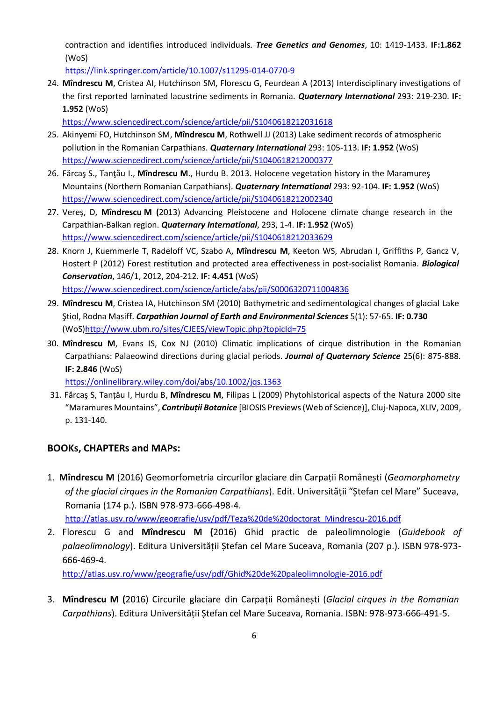contraction and identifies introduced individuals. *Tree Genetics and Genomes*, 10: 1419-1433. **IF:1.862** (WoS)

<https://link.springer.com/article/10.1007/s11295-014-0770-9>

24. **Mîndrescu M**, Cristea AI, Hutchinson SM, Florescu G, Feurdean A (2013) Interdisciplinary investigations of the first reported laminated lacustrine sediments in Romania. *Quaternary International* 293: 219-230. **IF: 1.952** (WoS)

<https://www.sciencedirect.com/science/article/pii/S1040618212031618>

- 25. Akinyemi FO, Hutchinson SM, **Mîndrescu M**, Rothwell JJ (2013) Lake sediment records of atmospheric pollution in the Romanian Carpathians. *Quaternary International* 293: 105-113. **IF: 1.952** (WoS) <https://www.sciencedirect.com/science/article/pii/S1040618212000377>
- 26. Fărcaş S., Tanţău I., **Mîndrescu M**., Hurdu B. 2013. Holocene vegetation history in the Maramureş Mountains (Northern Romanian Carpathians). *Quaternary International* 293: 92-104. **IF: 1.952** (WoS) <https://www.sciencedirect.com/science/article/pii/S1040618212002340>
- 27. Vereş, D, **Mîndrescu M (**2013) Advancing Pleistocene and Holocene climate change research in the Carpathian-Balkan region. *Quaternary International*, 293, 1-4. **IF: 1.952** (WoS) <https://www.sciencedirect.com/science/article/pii/S1040618212033629>
- 28. Knorn J, Kuemmerle T, Radeloff VC, Szabo A, **Mîndrescu M**, Keeton WS, Abrudan I, Griffiths P, Gancz V, Hostert P (2012) Forest restitution and protected area effectiveness in post-socialist Romania. *Biological Conservation*, 146/1, 2012, 204-212. **IF: 4.451** (WoS) <https://www.sciencedirect.com/science/article/abs/pii/S0006320711004836>
- 29. **Mîndrescu M**, Cristea IA, Hutchinson SM (2010) Bathymetric and sedimentological changes of glacial Lake Ştiol, Rodna Masiff. *Carpathian Journal of Earth and Environmental Sciences* 5(1): 57-65. **IF: 0.730** (WoS[\)http://www.ubm.ro/sites/CJEES/viewTopic.php?topicId=75](http://www.ubm.ro/sites/CJEES/viewTopic.php?topicId=75)
- 30. **Mîndrescu M**, Evans IS, Cox NJ (2010) Climatic implications of cirque distribution in the Romanian Carpathians: Palaeowind directions during glacial periods. *Journal of Quaternary Science* 25(6): 875-888. **IF: 2.846** (WoS)

<https://onlinelibrary.wiley.com/doi/abs/10.1002/jqs.1363>

31. Fărcaş S, Tanțău I, Hurdu B, **Mîndrescu M**, Filipas L (2009) Phytohistorical aspects of the Natura 2000 site "Maramures Mountains", *Contribuții Botanice* [BIOSIS Previews (Web of Science)], Cluj-Napoca, XLIV, 2009, p. 131-140.

## **BOOKs, CHAPTERs and MAPs:**

1. **Mîndrescu M** (2016) Geomorfometria circurilor glaciare din Carpații Românești (*Geomorphometry of the glacial cirques in the Romanian Carpathians*). Edit. Universității "Ștefan cel Mare" Suceava, Romania (174 p.). ISBN 978-973-666-498-4.

[http://atlas.usv.ro/www/geografie/usv/pdf/Teza%20de%20doctorat\\_Mindrescu-2016.pdf](http://atlas.usv.ro/www/geografie/usv/pdf/Teza%20de%20doctorat_Mindrescu-2016.pdf)

2. Florescu G and **Mîndrescu M (**2016) Ghid practic de paleolimnologie (*Guidebook of palaeolimnology*). Editura Universității Ștefan cel Mare Suceava, Romania (207 p.). ISBN 978-973- 666-469-4.

<http://atlas.usv.ro/www/geografie/usv/pdf/Ghid%20de%20paleolimnologie-2016.pdf>

3. **Mîndrescu M (**2016) Circurile glaciare din Carpații Românești (*Glacial cirques in the Romanian Carpathians*). Editura Universității Ștefan cel Mare Suceava, Romania. ISBN: 978-973-666-491-5.